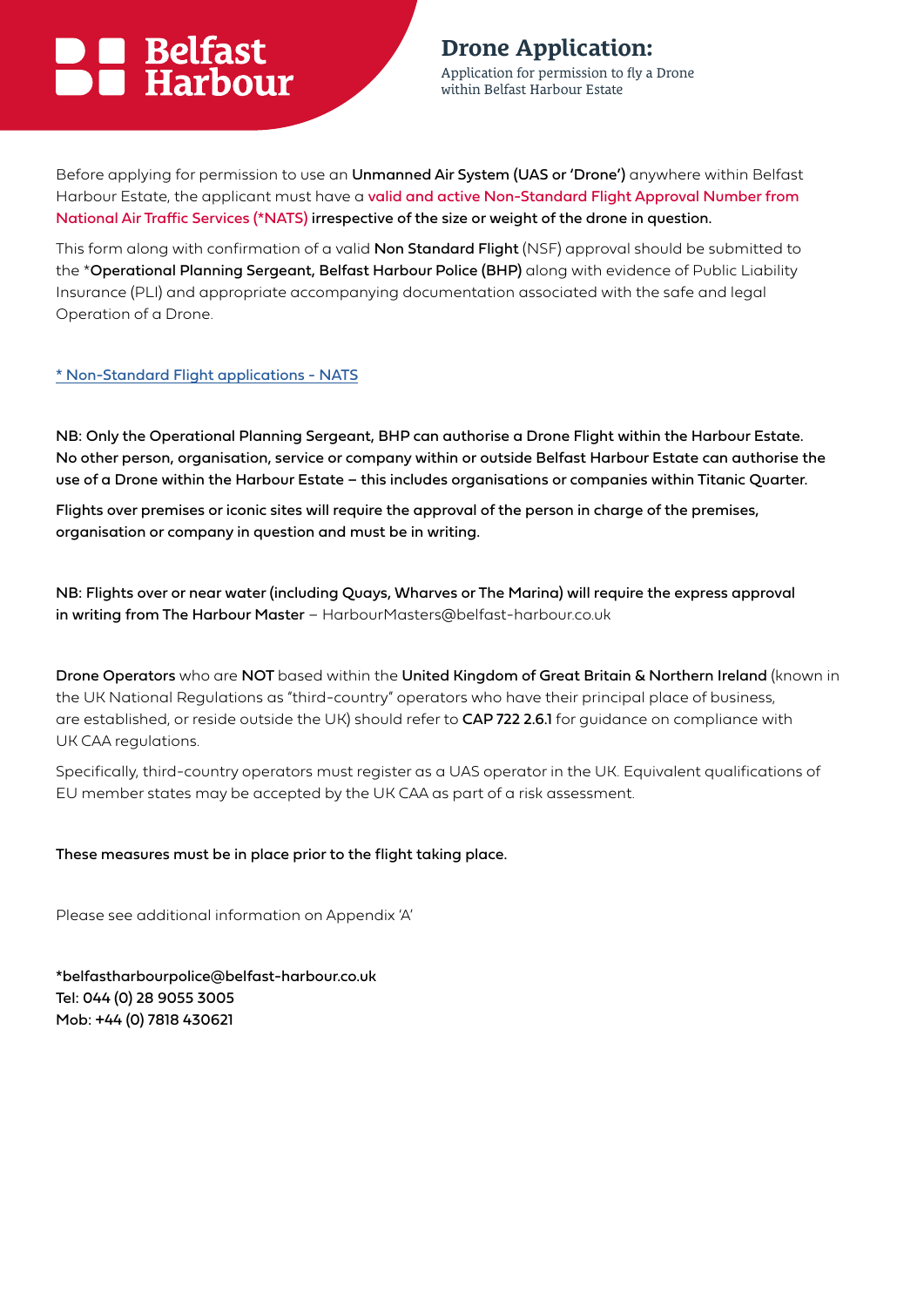## Belfast<br>Barbour

**Drone Application:** 

Application for permission to fly a Drone within Belfast Harbour Estate

Before applying for permission to use an Unmanned Air System (UAS or 'Drone') anywhere within Belfast Harbour Estate, the applicant must have a valid and active Non-Standard Flight Approval Number from National Air Traffic Services (\*NATS) irrespective of the size or weight of the drone in question.

This form along with confirmation of a valid Non Standard Flight (NSF) approval should be submitted to the \*Operational Planning Sergeant, Belfast Harbour Police (BHP) along with evidence of Public Liability Insurance (PLI) and appropriate accompanying documentation associated with the safe and legal Operation of a Drone.

[\\* Non-Standard Flight applications - NATS](https://www.nats.aero/airspace/drones/non-standard-flight-applications/)

NB: Only the Operational Planning Sergeant, BHP can authorise a Drone Flight within the Harbour Estate. No other person, organisation, service or company within or outside Belfast Harbour Estate can authorise the use of a Drone within the Harbour Estate – this includes organisations or companies within Titanic Quarter.

Flights over premises or iconic sites will require the approval of the person in charge of the premises, organisation or company in question and must be in writing.

NB: Flights over or near water (including Quays, Wharves or The Marina) will require the express approval in writing from The Harbour Master - HarbourMasters@belfast-harbour.co.uk

Drone Operators who are NOT based within the United Kingdom of Great Britain & Northern Ireland (known in the UK National Regulations as "third-country" operators who have their principal place of business, are established, or reside outside the UK) should refer to CAP 722 2.6.1 for guidance on compliance with UK CAA regulations.

Specifically, third-country operators must register as a UAS operator in the UK. Equivalent qualifications of EU member states may be accepted by the UK CAA as part of a risk assessment.

These measures must be in place prior to the flight taking place.

Please see additional information on Appendix 'A'

\*belfastharbourpolice@belfast-harbour.co.uk Tel: 044 (0) 28 9055 3005 Mob: +44 (0) 7818 430621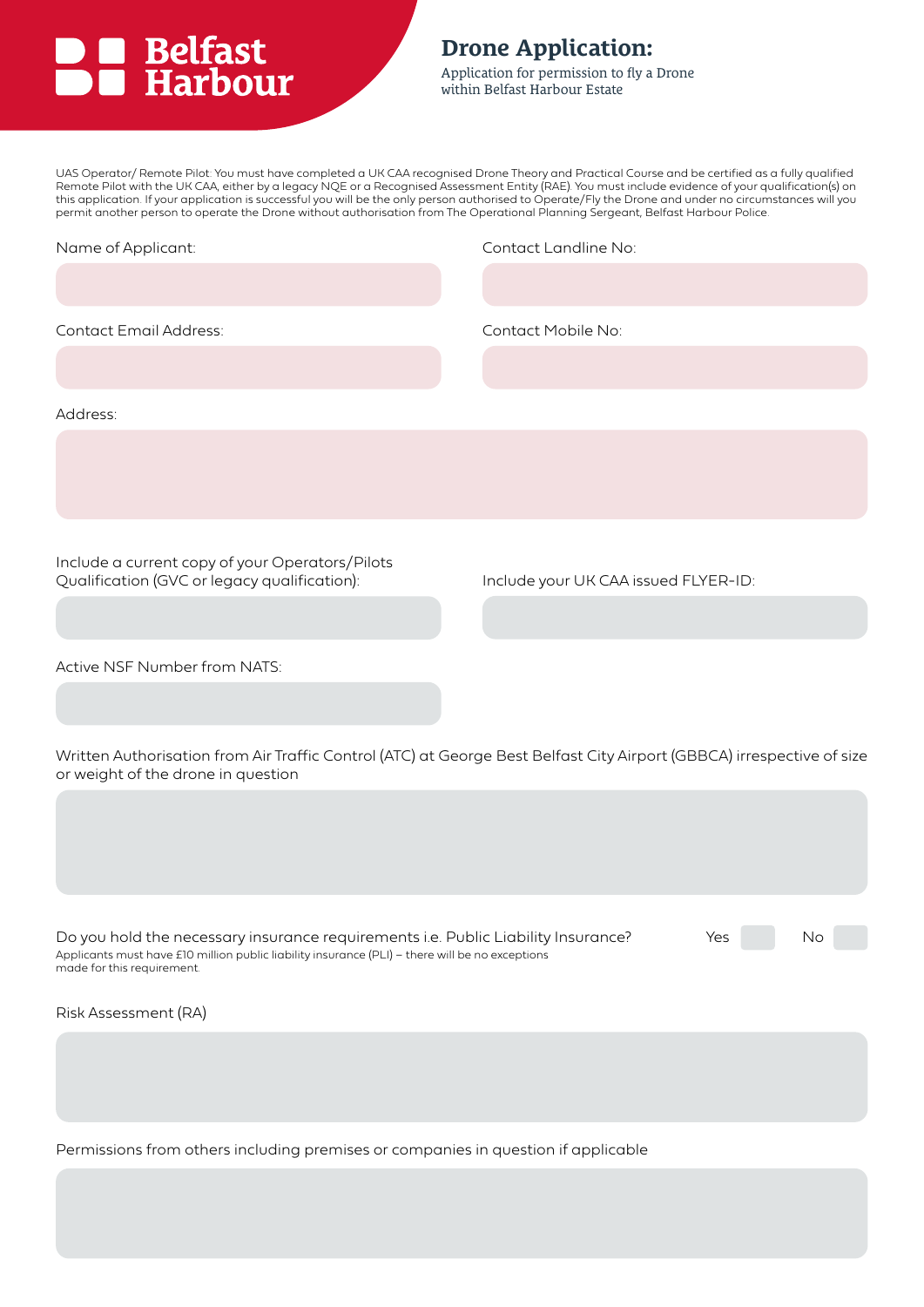## **DE Belfast<br>
BE Harbour**

### **Drone Application:**

Application for permission to fly a Drone within Belfast Harbour Estate

UAS Operator/ Remote Pilot: You must have completed a UK CAA recognised Drone Theory and Practical Course and be certified as a fully qualified Remote Pilot with the UK CAA, either by a legacy NQE or a Recognised Assessment Entity (RAE). You must include evidence of your qualification(s) on this application. If your application is successful you will be the only person authorised to Operate/Fly the Drone and under no circumstances will you permit another person to operate the Drone without authorisation from The Operational Planning Sergeant, Belfast Harbour Police.

| Name of Applicant:                                                                                                                                                                                                 | Contact Landline No:                 |  |  |
|--------------------------------------------------------------------------------------------------------------------------------------------------------------------------------------------------------------------|--------------------------------------|--|--|
|                                                                                                                                                                                                                    |                                      |  |  |
| Contact Email Address:                                                                                                                                                                                             | Contact Mobile No:                   |  |  |
|                                                                                                                                                                                                                    |                                      |  |  |
| Address:                                                                                                                                                                                                           |                                      |  |  |
|                                                                                                                                                                                                                    |                                      |  |  |
|                                                                                                                                                                                                                    |                                      |  |  |
| Include a current copy of your Operators/Pilots                                                                                                                                                                    |                                      |  |  |
| Qualification (GVC or legacy qualification):                                                                                                                                                                       | Include your UK CAA issued FLYER-ID: |  |  |
|                                                                                                                                                                                                                    |                                      |  |  |
| Active NSF Number from NATS:                                                                                                                                                                                       |                                      |  |  |
|                                                                                                                                                                                                                    |                                      |  |  |
| Written Authorisation from Air Traffic Control (ATC) at George Best Belfast City Airport (GBBCA) irrespective of size<br>or weight of the drone in question                                                        |                                      |  |  |
|                                                                                                                                                                                                                    |                                      |  |  |
|                                                                                                                                                                                                                    |                                      |  |  |
|                                                                                                                                                                                                                    |                                      |  |  |
| Do you hold the necessary insurance requirements i.e. Public Liability Insurance?<br>Applicants must have £10 million public liability insurance (PLI) - there will be no exceptions<br>made for this requirement. | Yes<br>No                            |  |  |
| Risk Assessment (RA)                                                                                                                                                                                               |                                      |  |  |
|                                                                                                                                                                                                                    |                                      |  |  |
|                                                                                                                                                                                                                    |                                      |  |  |
|                                                                                                                                                                                                                    |                                      |  |  |

Permissions from others including premises or companies in question if applicable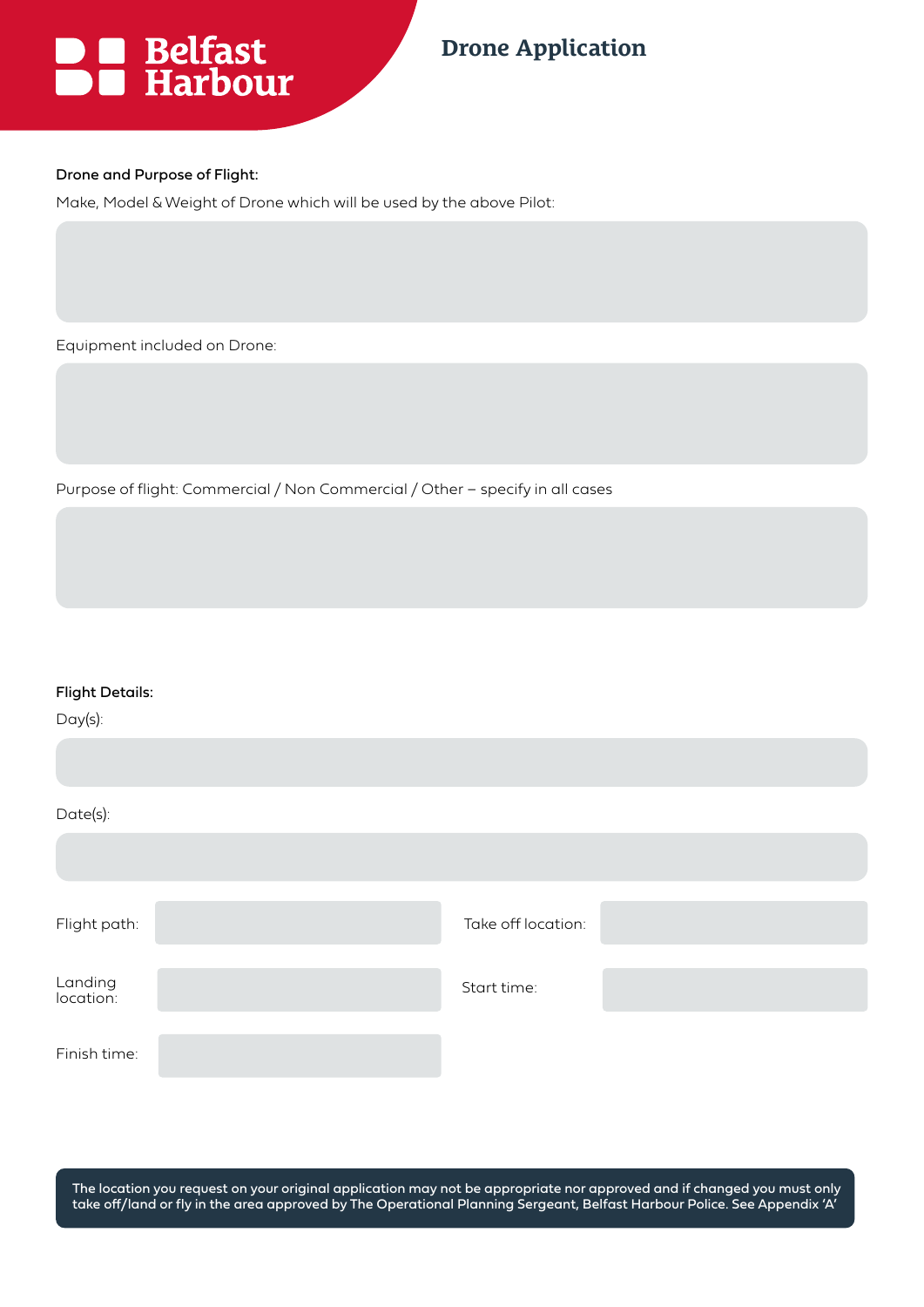

## **Drone Application**

#### Drone and Purpose of Flight:

Make, Model & Weight of Drone which will be used by the above Pilot:

Equipment included on Drone:

Purpose of flight: Commercial / Non Commercial / Other – specify in all cases

| <b>Flight Details:</b> |  |
|------------------------|--|
|------------------------|--|

| $Day(s)$ :           |                    |  |
|----------------------|--------------------|--|
|                      |                    |  |
| Date(s):             |                    |  |
|                      |                    |  |
|                      |                    |  |
| Flight path:         | Take off location: |  |
|                      |                    |  |
| Landing<br>location: | Start time:        |  |
|                      |                    |  |
| Finish time:         |                    |  |

The location you request on your original application may not be appropriate nor approved and if changed you must only take off/land or fly in the area approved by The Operational Planning Sergeant, Belfast Harbour Police. See Appendix 'A'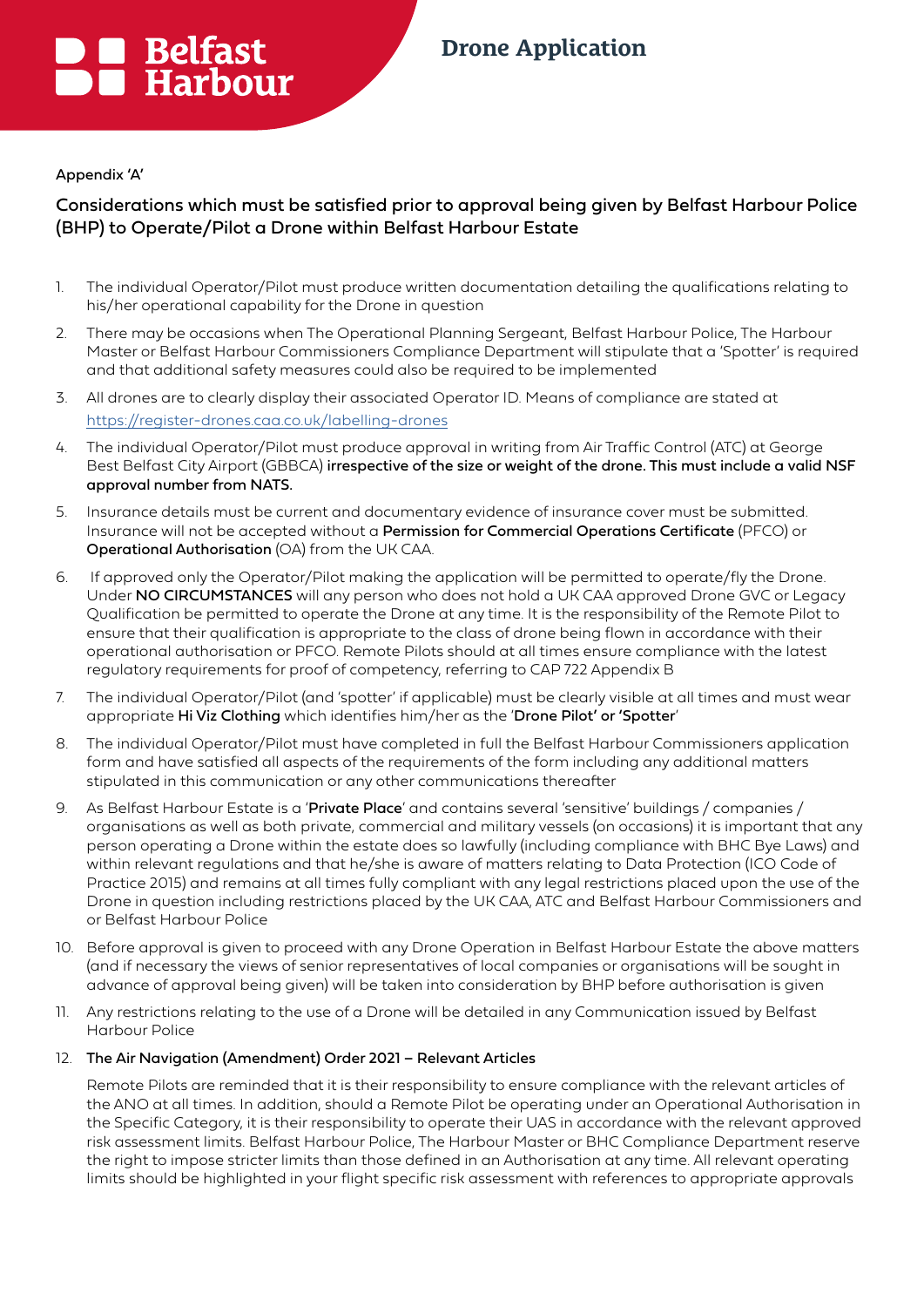# ■ Belfast<br>■ Harbour

## **Drone Application**

#### Appendix 'A'

#### Considerations which must be satisfied prior to approval being given by Belfast Harbour Police (BHP) to Operate/Pilot a Drone within Belfast Harbour Estate

- 1. The individual Operator/Pilot must produce written documentation detailing the qualifications relating to his/her operational capability for the Drone in question
- 2. There may be occasions when The Operational Planning Sergeant, Belfast Harbour Police, The Harbour Master or Belfast Harbour Commissioners Compliance Department will stipulate that a 'Spotter' is required and that additional safety measures could also be required to be implemented
- 3. All drones are to clearly display their associated Operator ID. Means of compliance are stated at <https://register-drones.caa.co.uk/labelling-drones>
- 4. The individual Operator/Pilot must produce approval in writing from Air Traffic Control (ATC) at George Best Belfast City Airport (GBBCA) irrespective of the size or weight of the drone. This must include a valid NSF approval number from NATS.
- 5. Insurance details must be current and documentary evidence of insurance cover must be submitted. Insurance will not be accepted without a Permission for Commercial Operations Certificate (PFCO) or Operational Authorisation (OA) from the UK CAA.
- 6. If approved only the Operator/Pilot making the application will be permitted to operate/fly the Drone. Under NO CIRCUMSTANCES will any person who does not hold a UK CAA approved Drone GVC or Legacy Qualification be permitted to operate the Drone at any time. It is the responsibility of the Remote Pilot to ensure that their qualification is appropriate to the class of drone being flown in accordance with their operational authorisation or PFCO. Remote Pilots should at all times ensure compliance with the latest regulatory requirements for proof of competency, referring to CAP 722 Appendix B
- 7. The individual Operator/Pilot (and 'spotter' if applicable) must be clearly visible at all times and must wear appropriate Hi Viz Clothing which identifies him/her as the 'Drone Pilot' or 'Spotter'
- 8. The individual Operator/Pilot must have completed in full the Belfast Harbour Commissioners application form and have satisfied all aspects of the requirements of the form including any additional matters stipulated in this communication or any other communications thereafter
- 9. As Belfast Harbour Estate is a 'Private Place' and contains several 'sensitive' buildings / companies / organisations as well as both private, commercial and military vessels (on occasions) it is important that any person operating a Drone within the estate does so lawfully (including compliance with BHC Bye Laws) and within relevant regulations and that he/she is aware of matters relating to Data Protection (ICO Code of Practice 2015) and remains at all times fully compliant with any legal restrictions placed upon the use of the Drone in question including restrictions placed by the UK CAA, ATC and Belfast Harbour Commissioners and or Belfast Harbour Police
- 10. Before approval is given to proceed with any Drone Operation in Belfast Harbour Estate the above matters (and if necessary the views of senior representatives of local companies or organisations will be sought in advance of approval being given) will be taken into consideration by BHP before authorisation is given
- 11. Any restrictions relating to the use of a Drone will be detailed in any Communication issued by Belfast Harbour Police

#### 12. The Air Navigation (Amendment) Order 2021 – Relevant Articles

Remote Pilots are reminded that it is their responsibility to ensure compliance with the relevant articles of the ANO at all times. In addition, should a Remote Pilot be operating under an Operational Authorisation in the Specific Category, it is their responsibility to operate their UAS in accordance with the relevant approved risk assessment limits. Belfast Harbour Police, The Harbour Master or BHC Compliance Department reserve the right to impose stricter limits than those defined in an Authorisation at any time. All relevant operating limits should be highlighted in your flight specific risk assessment with references to appropriate approvals